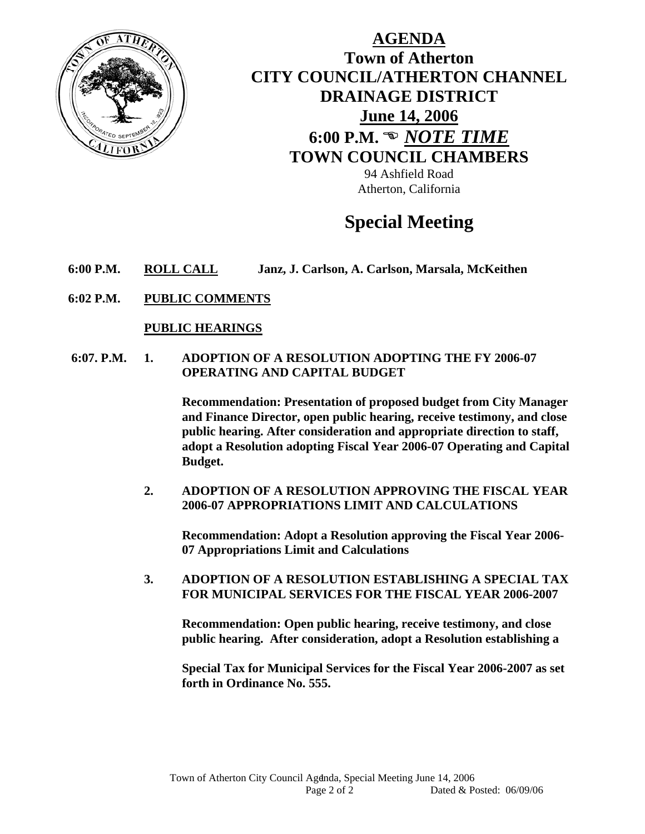

**AGENDA Town of Atherton CITY COUNCIL/ATHERTON CHANNEL DRAINAGE DISTRICT June 14, 2006 6:00 P.M. <sup>***®</sup>**NOTE TIME*</sup> **TOWN COUNCIL CHAMBERS**

94 Ashfield Road Atherton, California

## **Special Meeting**

- **6:00 P.M. ROLL CALL Janz, J. Carlson, A. Carlson, Marsala, McKeithen**
- **6:02 P.M. PUBLIC COMMENTS**

## **PUBLIC HEARINGS**

 **6:07. P.M. 1. ADOPTION OF A RESOLUTION ADOPTING THE FY 2006-07 OPERATING AND CAPITAL BUDGET** 

> **Recommendation: Presentation of proposed budget from City Manager and Finance Director, open public hearing, receive testimony, and close public hearing. After consideration and appropriate direction to staff, adopt a Resolution adopting Fiscal Year 2006-07 Operating and Capital Budget.**

**2. ADOPTION OF A RESOLUTION APPROVING THE FISCAL YEAR 2006-07 APPROPRIATIONS LIMIT AND CALCULATIONS** 

**Recommendation: Adopt a Resolution approving the Fiscal Year 2006- 07 Appropriations Limit and Calculations** 

**3. ADOPTION OF A RESOLUTION ESTABLISHING A SPECIAL TAX FOR MUNICIPAL SERVICES FOR THE FISCAL YEAR 2006-2007** 

**Recommendation: Open public hearing, receive testimony, and close public hearing. After consideration, adopt a Resolution establishing a** 

**Special Tax for Municipal Services for the Fiscal Year 2006-2007 as set forth in Ordinance No. 555.**